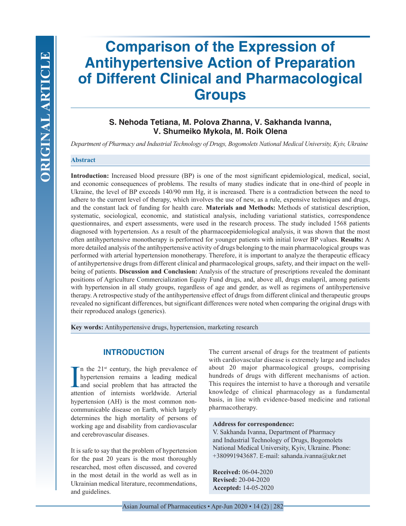# **Comparison of the Expression of Antihypertensive Action of Preparation of Different Clinical and Pharmacological Groups**

# **S. Nehoda Tetiana, M. Polova Zhanna, V. Sakhanda Ivanna, V. Shumeiko Mykola, M. Roik Olena**

*Department of Pharmacy and Industrial Technology of Drugs, Bogomolets National Medical University, Kyiv, Ukraine*

## **Abstract**

**Introduction:** Increased blood pressure (BP) is one of the most significant epidemiological, medical, social, and economic consequences of problems. The results of many studies indicate that in one-third of people in Ukraine, the level of BP exceeds 140/90 mm Hg, it is increased. There is a contradiction between the need to adhere to the current level of therapy, which involves the use of new, as a rule, expensive techniques and drugs, and the constant lack of funding for health care. **Materials and Methods:** Methods of statistical description, systematic, sociological, economic, and statistical analysis, including variational statistics, correspondence questionnaires, and expert assessments, were used in the research process. The study included 1568 patients diagnosed with hypertension. As a result of the pharmacoepidemiological analysis, it was shown that the most often antihypertensive monotherapy is performed for younger patients with initial lower BP values. **Results:** A more detailed analysis of the antihypertensive activity of drugs belonging to the main pharmacological groups was performed with arterial hypertension monotherapy. Therefore, it is important to analyze the therapeutic efficacy of antihypertensive drugs from different clinical and pharmacological groups, safety, and their impact on the wellbeing of patients. **Discussion and Conclusion:** Analysis of the structure of prescriptions revealed the dominant positions of Agriculture Commercialization Equity Fund drugs, and, above all, drugs enalapril, among patients with hypertension in all study groups, regardless of age and gender, as well as regimens of antihypertensive therapy. A retrospective study of the antihypertensive effect of drugs from different clinical and therapeutic groups revealed no significant differences, but significant differences were noted when comparing the original drugs with their reproduced analogs (generics).

**Key words:** Antihypertensive drugs, hypertension, marketing research

## **INTRODUCTION**

In the 21<sup>st</sup> century, the high prevalence of hypertension remains a leading medical and social problem that has attracted the attention of internists worldwide. Arterial n the 21st century, the high prevalence of hypertension remains a leading medical and social problem that has attracted the hypertension (AH) is the most common noncommunicable disease on Earth, which largely determines the high mortality of persons of working age and disability from cardiovascular and cerebrovascular diseases.

It is safe to say that the problem of hypertension for the past 20 years is the most thoroughly researched, most often discussed, and covered in the most detail in the world as well as in Ukrainian medical literature, recommendations, and guidelines.

The current arsenal of drugs for the treatment of patients with cardiovascular disease is extremely large and includes about 20 major pharmacological groups, comprising hundreds of drugs with different mechanisms of action. This requires the internist to have a thorough and versatile knowledge of clinical pharmacology as a fundamental basis, in line with evidence-based medicine and rational pharmacotherapy.

#### **Address for correspondence:**

V. Sakhanda Ivanna, Department of Pharmacy and Industrial Technology of Drugs, Bogomolets National Medical University, Kyiv, Ukraine. Phone: +380991943687. E-mail: sahanda.ivanna@ukr.net

**Received:** 06-04-2020 **Revised:** 20-04-2020 **Accepted:** 14-05-2020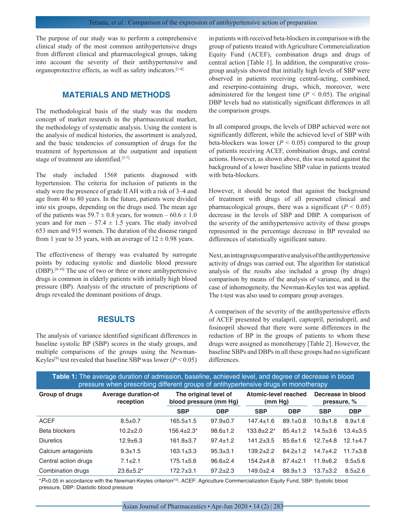The purpose of our study was to perform a comprehensive clinical study of the most common antihypertensive drugs from different clinical and pharmacological groups, taking into account the severity of their antihypertensive and organoprotective effects, as well as safety indicators.[1-4]

## **MATERIALS AND METHODS**

The methodological basis of the study was the modern concept of market research in the pharmaceutical market, the methodology of systematic analysis. Using the content is the analysis of medical histories, the assortment is analyzed, and the basic tendencies of consumption of drugs for the treatment of hypertension at the outpatient and inpatient stage of treatment are identified.<sup>[5-7]</sup>

The study included 1568 patients diagnosed with hypertension. The criteria for inclusion of patients in the study were the presence of grade II AH with a risk of 3–4 and age from 40 to 80 years. In the future, patients were divided into six groups, depending on the drugs used. The mean age of the patients was  $59.7 \pm 0.8$  years, for women –  $60.6 \pm 1.0$ years and for men –  $57.4 \pm 1.5$  years. The study involved 653 men and 915 women. The duration of the disease ranged from 1 year to 35 years, with an average of  $12 \pm 0.98$  years.

The effectiveness of therapy was evaluated by surrogate points by reducing systolic and diastolic blood pressure (DBP).[8-10] The use of two or three or more antihypertensive drugs is common in elderly patients with initially high blood pressure (BP). Analysis of the structure of prescriptions of drugs revealed the dominant positions of drugs.

## **RESULTS**

The analysis of variance identified significant differences in baseline systolic BP (SBP) scores in the study groups, and multiple comparisons of the groups using the Newman-Keyles<sup>[9]</sup> test revealed that baseline SBP was lower ( $P < 0.05$ ) in patients with received beta-blockers in comparison with the group of patients treated with Agriculture Commercialization Equity Fund (ACEF), combination drugs and drugs of central action [Table 1]. In addition, the comparative crossgroup analysis showed that initially high levels of SBP were observed in patients receiving central-acting, combined, and reserpine-containing drugs, which, moreover, were administered for the longest time  $(P < 0.05)$ . The original DBP levels had no statistically significant differences in all the comparison groups.

In all compared groups, the levels of DBP achieved were not significantly different, while the achieved level of SBP with beta-blockers was lower ( $P < 0.05$ ) compared to the group of patients receiving ACEF, combination drugs, and central actions. However, as shown above, this was noted against the background of a lower baseline SBP value in patients treated with beta-blockers.

However, it should be noted that against the background of treatment with drugs of all presented clinical and pharmacological groups, there was a significant  $(P < 0.05)$ decrease in the levels of SBP and DBP. A comparison of the severity of the antihypertensive activity of these groups represented in the percentage decrease in BP revealed no differences of statistically significant nature.

Next, an intragroup comparative analysis of the antihypertensive activity of drugs was carried out. The algorithm for statistical analysis of the results also included a group (by drugs) comparison by means of the analysis of variance, and in the case of inhomogeneity, the Newman-Keyles test was applied. The t-test was also used to compare group averages.

A comparison of the severity of the antihypertensive effects of ACEF presented by enalapril, captopril, perindopril, and fosinopril showed that there were some differences in the reduction of BP in the groups of patients to whom these drugs were assigned as monotherapy [Table 2]. However, the baseline SBPs and DBPs in all these groups had no significant differences.

| Table 1: The average duration of admission, baseline, achieved level, and degree of decrease in blood<br>pressure when prescribing different groups of antihypertensive drugs in monotherapy |                                         |                                                 |                |                                 |                |                                  |                |  |  |  |
|----------------------------------------------------------------------------------------------------------------------------------------------------------------------------------------------|-----------------------------------------|-------------------------------------------------|----------------|---------------------------------|----------------|----------------------------------|----------------|--|--|--|
| <b>Group of drugs</b>                                                                                                                                                                        | <b>Average duration-of</b><br>reception | The original level of<br>blood pressure (mm Hg) |                | Atomic-level reached<br>(mm Hg) |                | Decrease in blood<br>pressure, % |                |  |  |  |
|                                                                                                                                                                                              |                                         | <b>SBP</b>                                      | <b>DBP</b>     | <b>SBP</b>                      | <b>DBP</b>     | <b>SBP</b>                       | <b>DBP</b>     |  |  |  |
| <b>ACEF</b>                                                                                                                                                                                  | $8.5 \pm 0.7$                           | $165.5 \pm 1.5$                                 | $97.9 \pm 0.7$ | $147.4 \pm 1.6$                 | $89.1 \pm 0.8$ | $10.9 + 1.8$                     | $8.9 + 1.6$    |  |  |  |
| Beta blockers                                                                                                                                                                                | $10.2 + 2.0$                            | $156.4 + 2.3*$                                  | $98.6 \pm 1.2$ | $133.8 + 2.2*$                  | $85.4 \pm 1.2$ | $14.5 \pm 3.6$                   | $13.4 \pm 3.5$ |  |  |  |
| <b>Diuretics</b>                                                                                                                                                                             | $12.9 + 6.3$                            | $161.8 \pm 3.7$                                 | $97.4 \pm 1.2$ | $141.2 \pm 3.5$                 | $85.6 \pm 1.6$ | $12.7 + 4.8$                     | $12.1 + 4.7$   |  |  |  |
| Calcium antagonists                                                                                                                                                                          | $9.3 + 1.5$                             | $163.1 \pm 3.3$                                 | $95.3 \pm 3.1$ | $139.2 + 2.2$                   | $84.2 \pm 1.2$ | $14.7 + 4.2$                     | $11.7 \pm 3.8$ |  |  |  |
| Central action drugs                                                                                                                                                                         | $7.1 \pm 2.1$                           | $175.1 \pm 5.6$                                 | $96.6 \pm 2.4$ | $154.2 + 4.8$                   | $87.4 \pm 2.1$ | $11.9 \pm 6.2$                   | $9.5 + 5.6$    |  |  |  |
| Combination drugs                                                                                                                                                                            | $23.6 + 5.2^*$                          | $172.7 + 3.1$                                   | $97.2 + 2.3$   | $149.0+2.4$                     | $88.9 \pm 1.3$ | $13.7 \pm 3.2$                   | $8.5 \pm 2.6$  |  |  |  |

\**P*<0.05 in accordance with the Newman-Keyles criterion[10]. ACEF: Agriculture Commercialization Equity Fund, SBP: Systolic blood pressure, DBP: Diastolic blood pressure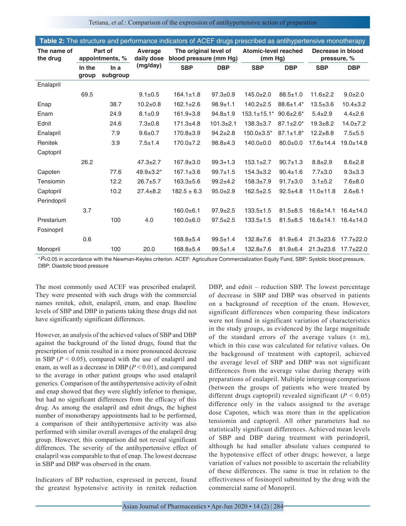Tetiana, *et al.*: Comparison of the expression of antihypertensive action of preparation

| Table 2: The structure and performance indicators of ACEF drugs prescribed as antihypertensive monotherapy |                            |                  |                       |                                                 |                 |                                 |                             |                                  |                 |
|------------------------------------------------------------------------------------------------------------|----------------------------|------------------|-----------------------|-------------------------------------------------|-----------------|---------------------------------|-----------------------------|----------------------------------|-----------------|
| The name of<br>the drug                                                                                    | Part of<br>appointments, % |                  | Average<br>daily dose | The original level of<br>blood pressure (mm Hg) |                 | Atomic-level reached<br>(mm Hg) |                             | Decrease in blood<br>pressure, % |                 |
|                                                                                                            | In the<br>group            | In a<br>subgroup | (mg/day)              | <b>SBP</b>                                      | <b>DBP</b>      | <b>SBP</b>                      | <b>DBP</b>                  | <b>SBP</b>                       | <b>DBP</b>      |
| Enalapril                                                                                                  |                            |                  |                       |                                                 |                 |                                 |                             |                                  |                 |
|                                                                                                            | 69.5                       |                  | $9.1 \pm 0.5$         | $164.1 \pm 1.8$                                 | $97.3 \pm 0.9$  | $145.0 \pm 2.0$                 | $88.5 \pm 1.0$              | $11.6 \pm 2.2$                   | $9.0 + 2.0$     |
| Enap                                                                                                       |                            | 38.7             | $10.2 \pm 0.8$        | $162.1 \pm 2.6$                                 | $98.9 + 1.1$    | $140.2 \pm 2.5$                 | $88.6 \pm 1.4*$             | $13.5 + 3.6$                     | $10.4 \pm 3.2$  |
| Enam                                                                                                       |                            | 24.9             | $8.1 \pm 0.9$         | $161.9 + 3.8$                                   | $94.8 \pm 1.9$  | $153.1 \pm 15.1^*$              | $90.6 \pm 2.6^*$            | $5.4 \pm 2.9$                    | $4.4 \pm 2.6$   |
| Ednit                                                                                                      |                            | 24.6             | $7.3 + 0.8$           | $171.3 + 4.8$                                   | $101.3 \pm 2.1$ | $138.3 \pm 3.7$                 | $87.1 \pm 2.0^*$            | $19.3 + 8.2$                     | $14.0 \pm 7.2$  |
| Enalapril                                                                                                  |                            | 7.9              | $9.6 + 0.7$           | $170.8 \pm 3.9$                                 | $94.2 \pm 2.8$  | $150.0 \pm 3.5^*$               | $87.1 \pm 1.8$ <sup>*</sup> | $12.2 + 8.8$                     | $7.5 + 5.5$     |
| Renitek                                                                                                    |                            | 3.9              | $7.5 \pm 1.4$         | $170.0 \pm 7.2$                                 | $98.8 + 4.3$    | $140.0 \pm 0.0$                 | $80.0 + 0.0$                | $17.6 \pm 14.4$                  | $19.0 \pm 14.8$ |
| Captopril                                                                                                  |                            |                  |                       |                                                 |                 |                                 |                             |                                  |                 |
|                                                                                                            | 26.2                       |                  | $47.3 \pm 2.7$        | $167.9 \pm 3.0$                                 | $99.3 + 1.3$    | $153.1 \pm 2.7$                 | $90.7 \pm 1.3$              | $8.8 \pm 2.9$                    | $8.6 \pm 2.8$   |
| Capoten                                                                                                    |                            | 77.6             | $49.9 \pm 3.2^*$      | $167.1 \pm 3.6$                                 | $99.7 \pm 1.5$  | $154.3 \pm 3.2$                 | $90.4 \pm 1.6$              | $7.7 \pm 3.0$                    | $9.3 + 3.3$     |
| Tensiomin                                                                                                  |                            | 12.2             | $26.7 + 5.7$          | $163.3 + 5.6$                                   | $99.2 + 4.2$    | $158.3 \pm 7.9$                 | $91.7 \pm 3.0$              | $3.1 \pm 5.2$                    | $7.6 + 8.0$     |
| Captopril                                                                                                  |                            | 10.2             | $27.4 \pm 8.2$        | $182.5 \pm 6.3$                                 | $95.0 \pm 2.9$  | $162.5 \pm 2.5$                 | $92.5 + 4.8$                | $11.0 + 11.8$                    | $2.6 \pm 6.1$   |
| Perindopril                                                                                                |                            |                  |                       |                                                 |                 |                                 |                             |                                  |                 |
|                                                                                                            | 3.7                        |                  |                       | $160.0 + 6.1$                                   | $97.9 \pm 2.5$  | $133.5 \pm 1.5$                 | $81.5 + 8.5$                | $16.6 \pm 14.1$                  | $16.4 \pm 14.0$ |
| Prestarium                                                                                                 |                            | 100              | 4.0                   | $160.0 + 6.0$                                   | $97.5 \pm 2.5$  | $133.5 \pm 1.5$                 | $81.5 + 8.5$                | $16.6 \pm 14.1$                  | $16.4 \pm 14.0$ |
| Fosinopril                                                                                                 |                            |                  |                       |                                                 |                 |                                 |                             |                                  |                 |
|                                                                                                            | 0.6                        |                  |                       | $168.8 + 5.4$                                   | $99.5 \pm 1.4$  | $132.8 \pm 7.6$                 | $81.9 + 6.4$                | $21.3 \pm 23.6$                  | $17.7 \pm 22.0$ |
| Monopril                                                                                                   |                            | 100              | 20.0                  | $168.8 + 5.4$                                   | $99.5 + 1.4$    | $132.8 + 7.6$                   | $81.9 \pm 6.4$              | $21.3 \pm 23.6$                  | $17.7 + 22.0$   |

\**P*<0.05 in accordance with the Newman-Keyles criterion. ACEF: Agriculture Commercialization Equity Fund, SBP: Systolic blood pressure, DBP: Diastolic blood pressure

The most commonly used ACEF was prescribed enalapril. They were presented with such drugs with the commercial names renitek, ednit, enalapril, enam, and enap. Baseline levels of SBP and DBP in patients taking these drugs did not have significantly significant differences.

However, an analysis of the achieved values of SBP and DBP against the background of the listed drugs, found that the prescription of renin resulted in a more pronounced decrease in SBP  $(P < 0.05)$ , compared with the use of enalapril and enam, as well as a decrease in DBP (*P* < 0.01), and compared to the average in other patient groups who used enalapril generics. Comparison of the antihypertensive activity of ednit and enap showed that they were slightly inferior to rhenique, but had no significant differences from the efficacy of this drug. As among the enalapril and ednit drugs, the highest number of monotherapy appointments had to be performed, a comparison of their antihypertensive activity was also performed with similar overall averages of the enalapril drug group. However, this comparison did not reveal significant differences. The severity of the antihypertensive effect of enalapril was comparable to that of enap. The lowest decrease in SBP and DBP was observed in the enam.

Indicators of BP reduction, expressed in percent, found the greatest hypotensive activity in renitek reduction DBP, and ednit – reduction SBP. The lowest percentage of decrease in SBP and DBP was observed in patients on a background of reception of the enam. However, significant differences when comparing these indicators were not found in significant variation of characteristics in the study groups, as evidenced by the large magnitude of the standard errors of the average values  $(\pm m)$ , which in this case was calculated for relative values. On the background of treatment with captopril, achieved the average level of SBP and DBP was not significant differences from the average value during therapy with preparations of enalapril. Multiple intergroup comparison (between the groups of patients who were treated by different drugs captopril) revealed significant  $(P < 0.05)$ difference only in the values assigned to the average dose Capoten, which was more than in the application tensiomin and captopril. All other parameters had no statistically significant differences. Achieved mean levels of SBP and DBP during treatment with perindopril, although he had smaller absolute values compared to the hypotensive effect of other drugs; however, a large variation of values not possible to ascertain the reliability of these differences. The same is true in relation to the effectiveness of fosinopril submitted by the drug with the commercial name of Monopril.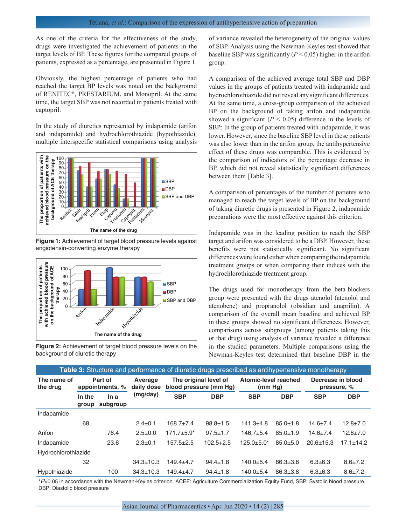As one of the criteria for the effectiveness of the study, drugs were investigated the achievement of patients in the target levels of BP. These figures for the compared groups of patients, expressed as a percentage, are presented in Figure 1.

Obviously, the highest percentage of patients who had reached the target BP levels was noted on the background of RENITEC®, PRESTARIUM, and Monopril. At the same time, the target SBP was not recorded in patients treated with captopril.

In the study of diuretics represented by indapamide (arifon and indapamide) and hydrochlorothiazide (hypothiazide), multiple interspecific statistical comparisons using analysis



**Figure 1:** Achievement of target blood pressure levels against angiotensin-converting enzyme therapy



**Figure 2:** Achievement of target blood pressure levels on the background of diuretic therapy

of variance revealed the heterogeneity of the original values of SBP. Analysis using the Newman-Keyles test showed that baseline SBP was significantly (*P* < 0.05) higher in the arifon group.

A comparison of the achieved average total SBP and DBP values in the groups of patients treated with indapamide and hydrochlorothiazide did not reveal any significant differences. At the same time, a cross-group comparison of the achieved BP on the background of taking arifon and indapamide showed a significant  $(P < 0.05)$  difference in the levels of SBP: In the group of patients treated with indapamide, it was lower. However, since the baseline SBP level in these patients was also lower than in the arifon group, the antihypertensive effect of these drugs was comparable. This is evidenced by the comparison of indicators of the percentage decrease in BP, which did not reveal statistically significant differences between them [Table 3].

A comparison of percentages of the number of patients who managed to reach the target levels of BP on the background of taking diuretic drugs is presented in Figure 2, indapamide preparations were the most effective against this criterion.

Indapamide was in the leading position to reach the SBP target and arifon was considered to be a DBP. However, these benefits were not statistically significant. No significant differences were found either when comparing the indapamide treatment groups or when comparing their indices with the hydrochlorothiazide treatment group.

The drugs used for monotherapy from the beta-blockers group were presented with the drugs atenolol (atenolol and atenobene) and propranolol (obsidian and anaprilin). A comparison of the overall mean baseline and achieved BP in these groups showed no significant differences. However, comparisons across subgroups (among patients taking this or that drug) using analysis of variance revealed a difference in the studied parameters. Multiple comparisons using the Newman-Keyles test determined that baseline DBP in the

| <b>Table 3:</b> Structure and performance of diuretic drugs prescribed as antihypertensive monotherapy |                            |                  |                       |                                                 |                |                                 |                |                                  |                |  |
|--------------------------------------------------------------------------------------------------------|----------------------------|------------------|-----------------------|-------------------------------------------------|----------------|---------------------------------|----------------|----------------------------------|----------------|--|
| The name of<br>the drug                                                                                | Part of<br>appointments, % |                  | Average<br>daily dose | The original level of<br>blood pressure (mm Hq) |                | Atomic-level reached<br>(mm Hg) |                | Decrease in blood<br>pressure, % |                |  |
|                                                                                                        | In the<br>group            | In a<br>subgroup | (mg/day)              | <b>SBP</b>                                      | <b>DBP</b>     | <b>SBP</b>                      | <b>DBP</b>     | <b>SBP</b>                       | <b>DBP</b>     |  |
| Indapamide                                                                                             |                            |                  |                       |                                                 |                |                                 |                |                                  |                |  |
|                                                                                                        | 68                         |                  | $2.4 \pm 0.1$         | $168.7 + 7.4$                                   | $98.8 \pm 1.5$ | $141.3 + 4.8$                   | $85.0 \pm 1.8$ | $14.6 \pm 7.4$                   | $12.8 \pm 7.0$ |  |
| Arifon                                                                                                 |                            | 76.4             | $2.5 \pm 0.0$         | $171.7 \pm 5.9^*$                               | $97.5 \pm 1.7$ | $146.7 + 5.4$                   | $85.0 \pm 1.9$ | $14.6 \pm 7.4$                   | $12.8 \pm 7.0$ |  |
| Indapamide                                                                                             |                            | 23.6             | $2.3 \pm 0.1$         | $157.5 + 2.5$                                   | $102.5 + 2.5$  | $125.0 + 5.0*$                  | $85.0 + 5.0$   | $20.6 \pm 15.3$                  | $17.1 + 14.2$  |  |
| Hydrochlorothiazide                                                                                    |                            |                  |                       |                                                 |                |                                 |                |                                  |                |  |
|                                                                                                        | 32                         |                  | $34.3 \pm 10.3$       | $149.4 + 4.7$                                   | $94.4 \pm 1.8$ | $140.0 + 5.4$                   | $86.3 \pm 3.8$ | $6.3 \pm 6.3$                    | $8.6 \pm 7.2$  |  |
| Hypothiazide                                                                                           |                            | 100              | $34.3 \pm 10.3$       | $149.4 + 4.7$                                   | $94.4 \pm 1.8$ | $140.0 + 5.4$                   | $86.3 \pm 3.8$ | $6.3 \pm 6.3$                    | $8.6 \pm 7.2$  |  |

\**P*<0.05 in accordance with the Newman-Keyles criterion. ACEF: Agriculture Commercialization Equity Fund, SBP: Systolic blood pressure, DBP: Diastolic blood pressure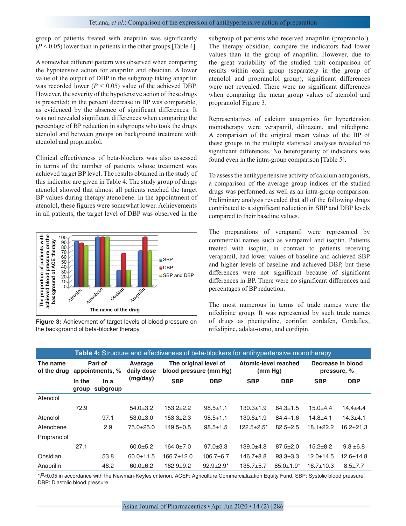group of patients treated with anaprilin was significantly  $(P < 0.05)$  lower than in patients in the other groups [Table 4].

A somewhat different pattern was observed when comparing the hypotensive action for anaprilin and obsidian. A lower value of the output of DBP in the subgroup taking anaprilin was recorded lower  $(P < 0.05)$  value of the achieved DBP. However, the severity of the hypotensive action of these drugs is presented; in the percent decrease in BP was comparable, as evidenced by the absence of significant differences. It was not revealed significant differences when comparing the percentage of BP reduction in subgroups who took the drugs atenolol and between groups on background treatment with atenolol and propranolol.

Clinical effectiveness of beta-blockers was also assessed in terms of the number of patients whose treatment was achieved target BP level. The results obtained in the study of this indicator are given in Table 4. The study group of drugs atenolol showed that almost all patients reached the target BP values during therapy atenobene. In the appointment of atenolol, these figures were somewhat lower. Achievements in all patients, the target level of DBP was observed in the



**Figure 3:** Achievement of target levels of blood pressure on the background of beta-blocker therapy

subgroup of patients who received anaprilin (propranolol). The therapy obsidian, compare the indicators had lower values than in the group of anaprilin. However, due to the great variability of the studied trait comparison of results within each group (separately in the group of atenolol and propranolol group), significant differences were not revealed. There were no significant differences when comparing the mean group values of atenolol and propranolol Figure 3.

Representatives of calcium antagonists for hypertension monotherapy were verapamil, diltiazem, and nifedipine. A comparison of the original mean values of the BP of these groups in the multiple statistical analyses revealed no significant differences. No heterogeneity of indicators was found even in the intra-group comparison [Table 5].

To assess the antihypertensive activity of calcium antagonists, a comparison of the average group indices of the studied drugs was performed, as well as an intra-group comparison. Preliminary analysis revealed that all of the following drugs contributed to a significant reduction in SBP and DBP levels compared to their baseline values.

The preparations of verapamil were represented by commercial names such as verapamil and isoptin. Patients treated with isoptin, in contrast to patients receiving verapamil, had lower values of baseline and achieved SBP and higher levels of baseline and achieved DBP, but these differences were not significant because of significant differences in BP. There were no significant differences and percentages of BP reduction.

The most numerous in terms of trade names were the nifedipine group. It was represented by such trade names of drugs as phenigidine, corinfar, cordafen, Cordaflex, nifedipine, adalat-osmo, and cordipin.

|                         | Table 4: Structure and effectiveness of beta-blockers for antihypertensive monotherapy |                  |                       |                                                 |                |                                 |                  |                                  |                 |  |
|-------------------------|----------------------------------------------------------------------------------------|------------------|-----------------------|-------------------------------------------------|----------------|---------------------------------|------------------|----------------------------------|-----------------|--|
| The name<br>of the drug | Part of<br>appointments, %                                                             |                  | Average<br>daily dose | The original level of<br>blood pressure (mm Hg) |                | Atomic-level reached<br>(mm Hg) |                  | Decrease in blood<br>pressure, % |                 |  |
|                         | In the<br>group                                                                        | In a<br>subgroup | (mg/day)              | <b>SBP</b>                                      | <b>DBP</b>     | <b>SBP</b>                      | <b>DBP</b>       | <b>SBP</b>                       | <b>DBP</b>      |  |
| Atenolol                |                                                                                        |                  |                       |                                                 |                |                                 |                  |                                  |                 |  |
|                         | 72.9                                                                                   |                  | $54.0 \pm 3.2$        | $153.2 + 2.2$                                   | $98.5 \pm 1.1$ | $130.3 \pm 1.9$                 | $84.3 \pm 1.5$   | $15.0 + 4.4$                     | $14.4 + 4.4$    |  |
| Atenolol                |                                                                                        | 97.1             | $53.0 + 3.0$          | $153.3 + 2.3$                                   | $98.5 + 1.1$   | $130.6 \pm 1.9$                 | $84.4 + 1.6$     | $14.8 + 4.1$                     | $14.3 + 4.1$    |  |
| Atenobene               |                                                                                        | 2.9              | $75.0 + 25.0$         | $149.5 \pm 0.5$                                 | $98.5 \pm 1.5$ | $122.5+2.5*$                    | $82.5 \pm 2.5$   | $18.1 \pm 22.2$                  | $16.2 + 21.3$   |  |
| Propranolol             |                                                                                        |                  |                       |                                                 |                |                                 |                  |                                  |                 |  |
|                         | 27.1                                                                                   |                  | $60.0 + 5.2$          | $164.0 \pm 7.0$                                 | $97.0 \pm 3.3$ | $139.0 + 4.8$                   | $87.5 \pm 2.0$   | $15.2 + 8.2$                     | $9.8 \pm 6.8$   |  |
| Obsidian                |                                                                                        | 53.8             | $60.0 + 11.5$         | $166.7 \pm 12.0$                                | $106.7 + 6.7$  | $146.7 + 8.8$                   | $93.3 \pm 3.3$   | $12.0 + 14.5$                    | $12.6 \pm 14.8$ |  |
| Anaprilin               |                                                                                        | 46.2             | $60.0 + 6.2$          | $162.9 + 9.2$                                   | $92.9 + 2.9*$  | $135.7 + 5.7$                   | $85.0 \pm 1.9^*$ | $16.7 + 10.3$                    | $8.5 \pm 7.7$   |  |

\**P*<0.05 in accordance with the Newman-Keyles criterion. ACEF: Agriculture Commercialization Equity Fund, SBP: Systolic blood pressure, DBP: Diastolic blood pressure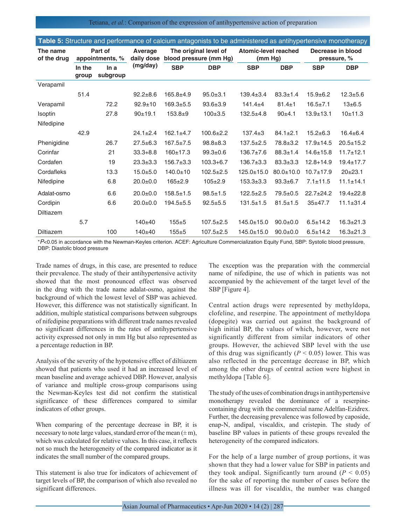Tetiana, *et al.*: Comparison of the expression of antihypertensive action of preparation

| <b>Table J.</b> Ottacture and performance of calcium antagonists to be administered as antihypertensive monotrerapy |                            |                 |                       |                                                 |                 |                                 |                 |                                  |                 |
|---------------------------------------------------------------------------------------------------------------------|----------------------------|-----------------|-----------------------|-------------------------------------------------|-----------------|---------------------------------|-----------------|----------------------------------|-----------------|
| The name<br>of the drug                                                                                             | Part of<br>appointments, % |                 | Average<br>daily dose | The original level of<br>blood pressure (mm Hg) |                 | Atomic-level reached<br>(mm Hg) |                 | Decrease in blood<br>pressure, % |                 |
|                                                                                                                     | In the<br>group            | Ina<br>subgroup | (mg/day)              | <b>SBP</b>                                      | <b>DBP</b>      | <b>SBP</b>                      | <b>DBP</b>      | <b>SBP</b>                       | <b>DBP</b>      |
| Verapamil                                                                                                           |                            |                 |                       |                                                 |                 |                                 |                 |                                  |                 |
|                                                                                                                     | 51.4                       |                 | $92.2 + 8.6$          | $165.8 + 4.9$                                   | $95.0 + 3.1$    | $139.4 \pm 3.4$                 | $83.3 \pm 1.4$  | $15.9 + 6.2$                     | $12.3 + 5.6$    |
| Verapamil                                                                                                           |                            | 72.2            | $92.9 \pm 10$         | $169.3 + 5.5$                                   | $93.6 \pm 3.9$  | $141.4 + 4$                     | $81.4 \pm 1$    | $16.5 \pm 7.1$                   | $13 \pm 6.5$    |
| <b>Isoptin</b>                                                                                                      |                            | 27.8            | 90±19.1               | $153.8 + 9$                                     | $100+3.5$       | $132.5+4.8$                     | 90±4.1          | $13.9 + 13.1$                    | 10±11.3         |
| Nifedipine                                                                                                          |                            |                 |                       |                                                 |                 |                                 |                 |                                  |                 |
|                                                                                                                     | 42.9                       |                 | $24.1 \pm 2.4$        | $162.1 \pm 4.7$                                 | $100.6 \pm 2.2$ | $137.4 \pm 3$                   | $84.1 \pm 2.1$  | $15.2 + 6.3$                     | $16.4 \pm 6.4$  |
| Phenigidine                                                                                                         |                            | 26.7            | $27.5 + 6.3$          | $167.5 \pm 7.5$                                 | $98.8 + 8.3$    | $137.5 \pm 2.5$                 | 78.8±3.2        | $17.9 + 14.5$                    | $20.5 + 15.2$   |
| Corinfar                                                                                                            |                            | 21              | $33.3 + 8.8$          | $160+17.3$                                      | $99.3 \pm 0.6$  | $136.7 \pm 7.6$                 | $88.3 \pm 1.4$  | $14.6 \pm 15.8$                  | $11.7 + 12.1$   |
| Cordafen                                                                                                            |                            | 19              | $23.3 + 3.3$          | $156.7 \pm 3.3$                                 | $103.3 + 6.7$   | $136.7 \pm 3.3$                 | $83.3 \pm 3.3$  | $12.8 + 14.9$                    | $19.4 \pm 17.7$ |
| Cordafleks                                                                                                          |                            | 13.3            | $15.0 + 5.0$          | $140.0 \pm 10$                                  | $102.5 \pm 2.5$ | $125.0 \pm 15.0$                | $80.0 \pm 10.0$ | $10.7 + 17.9$                    | $20+23.1$       |
| Nifedipine                                                                                                          |                            | 6.8             | $20.0 + 0.0$          | $165 \pm 2.9$                                   | $105 \pm 2.9$   | $153.3 \pm 3.3$                 | $93.3 \pm 6.7$  | $7.1 \pm 11.5$                   | $11.1 \pm 14.1$ |
| Adalat-osmo                                                                                                         |                            | 6.6             | $20.0+0.0$            | $158.5 \pm 1.5$                                 | $98.5 \pm 1.5$  | $122.5+2.5$                     | $79.5 + 0.5$    | $22.7 \pm 24.2$                  | $19.4 \pm 22.8$ |
| Cordipin                                                                                                            |                            | 6.6             | $20.0 + 0.0$          | $194.5 + 5.5$                                   | $92.5 + 5.5$    | $131.5 \pm 1.5$                 | $81.5 \pm 1.5$  | $35+47.7$                        | $11.1 \pm 31.4$ |
| Diltiazem                                                                                                           |                            |                 |                       |                                                 |                 |                                 |                 |                                  |                 |
|                                                                                                                     | 5.7                        |                 | $140 + 40$            | $155 + 5$                                       | $107.5 \pm 2.5$ | $145.0 \pm 15.0$                | $90.0 + 0.0$    | $6.5 \pm 14.2$                   | $16.3 \pm 21.3$ |
| <b>Diltiazem</b>                                                                                                    |                            | 100             | $140 + 40$            | $155 + 5$                                       | $107.5 \pm 2.5$ | $145.0 \pm 15.0$                | $90.0 + 0.0$    | $6.5 \pm 14.2$                   | $16.3 \pm 21.3$ |
|                                                                                                                     |                            |                 |                       |                                                 |                 |                                 |                 |                                  |                 |

**Table 5:** Structure and performance of calcium antagonists to be administered as antihypertensive monotherapy

\**P*<0.05 in accordance with the Newman-Keyles criterion. ACEF: Agriculture Commercialization Equity Fund, SBP: Systolic blood pressure, DBP: Diastolic blood pressure

Trade names of drugs, in this case, are presented to reduce their prevalence. The study of their antihypertensive activity showed that the most pronounced effect was observed in the drug with the trade name adalat-osmo, against the background of which the lowest level of SBP was achieved. However, this difference was not statistically significant. In addition, multiple statistical comparisons between subgroups of nifedipine preparations with different trade names revealed no significant differences in the rates of antihypertensive activity expressed not only in mm Hg but also represented as a percentage reduction in BP.

Analysis of the severity of the hypotensive effect of diltiazem showed that patients who used it had an increased level of mean baseline and average achieved DBP. However, analysis of variance and multiple cross-group comparisons using the Newman-Keyles test did not confirm the statistical significance of these differences compared to similar indicators of other groups.

When comparing of the percentage decrease in BP, it is necessary to note large values, standard error of the mean  $(\pm m)$ , which was calculated for relative values. In this case, it reflects not so much the heterogeneity of the compared indicator as it indicates the small number of the compared groups.

This statement is also true for indicators of achievement of target levels of BP, the comparison of which also revealed no significant differences.

The exception was the preparation with the commercial name of nifedipine, the use of which in patients was not accompanied by the achievement of the target level of the SBP [Figure 4].

Central action drugs were represented by methyldopa, clofeline, and reserpine. The appointment of methyldopa (dopegite) was carried out against the background of high initial BP, the values of which, however, were not significantly different from similar indicators of other groups. However, the achieved SBP level with the use of this drug was significantly  $(P < 0.05)$  lower. This was also reflected in the percentage decrease in BP, which among the other drugs of central action were highest in methyldopa [Table 6].

The study of the uses of combination drugs in antihypertensive monotherapy revealed the dominance of a reserpinecontaining drug with the commercial name Adelfan-Ezidrex. Further, the decreasing prevalence was followed by caposide, enap-N, andipal, viscaldix, and cristepin. The study of baseline BP values in patients of these groups revealed the heterogeneity of the compared indicators.

For the help of a large number of group portions, it was shown that they had a lower value for SBP in patients and they took andipal. Significantly turn around  $(P < 0.05)$ for the sake of reporting the number of cases before the illness was ill for viscaldix, the number was changed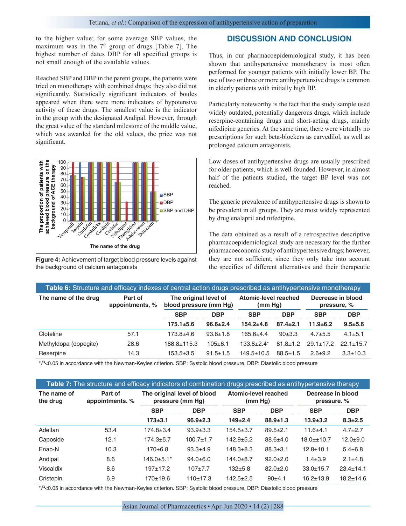to the higher value; for some average SBP values, the maximum was in the  $7<sup>th</sup>$  group of drugs [Table 7]. The highest number of dates DBP for all specified groups is not small enough of the available values.

Reached SBP and DBP in the parent groups, the patients were tried on monotherapy with combined drugs; they also did not significantly. Statistically significant indicators of boules appeared when there were more indicators of hypotensive activity of these drugs. The smallest value is the indicator in the group with the designated Andipal. However, through the great value of the standard milestone of the middle value, which was awarded for the old values, the price was not significant.



**Figure 4:** Achievement of target blood pressure levels against the background of calcium antagonists

## **DISCUSSION AND CONCLUSION**

Thus, in our pharmacoepidemiological study, it has been shown that antihypertensive monotherapy is most often performed for younger patients with initially lower BP. The use of two or three or more antihypertensive drugs is common in elderly patients with initially high BP.

Particularly noteworthy is the fact that the study sample used widely outdated, potentially dangerous drugs, which include reserpine-containing drugs and short-acting drugs, mainly nifedipine generics. At the same time, there were virtually no prescriptions for such beta-blockers as carvedilol, as well as prolonged calcium antagonists.

Low doses of antihypertensive drugs are usually prescribed for older patients, which is well-founded. However, in almost half of the patients studied, the target BP level was not reached.

The generic prevalence of antihypertensive drugs is shown to be prevalent in all groups. They are most widely represented by drug enalapril and nifedipine.

The data obtained as a result of a retrospective descriptive pharmacoepidemiological study are necessary for the further pharmacoeconomic study of antihypertensive drugs; however, they are not sufficient, since they only take into account the specifics of different alternatives and their therapeutic

| Table 6: Structure and efficacy indexes of central action drugs prescribed as antihypertensive monotherapy |                            |                                                 |                |                                 |                |                                  |                 |  |  |  |
|------------------------------------------------------------------------------------------------------------|----------------------------|-------------------------------------------------|----------------|---------------------------------|----------------|----------------------------------|-----------------|--|--|--|
| The name of the drug                                                                                       | Part of<br>appointments, % | The original level of<br>blood pressure (mm Hq) |                | Atomic-level reached<br>(mm Hg) |                | Decrease in blood<br>pressure, % |                 |  |  |  |
|                                                                                                            |                            | <b>SBP</b>                                      | <b>DBP</b>     | <b>SBP</b>                      | <b>DBP</b>     | <b>SBP</b>                       | <b>DBP</b>      |  |  |  |
|                                                                                                            |                            | $175.1 + 5.6$                                   | $96.6 \pm 2.4$ | $154.2 + 4.8$                   | $87.4 \pm 2.1$ | $11.9 + 6.2$                     | $9.5 + 5.6$     |  |  |  |
| Clofeline                                                                                                  | 57.1                       | $173.8 + 4.6$                                   | $93.8 \pm 1.8$ | $165.6 + 4.4$                   | 90±3.3         | $4.7 + 5.5$                      | $4.1 \pm 5.1$   |  |  |  |
| Methyldopa (dopegite)                                                                                      | 28.6                       | 188.8±115.3                                     | $105 \pm 6.1$  | $133.8 + 2.4*$                  | $81.8 \pm 1.2$ | $29.1 \pm 17.2$                  | $22.1 \pm 15.7$ |  |  |  |
| Reserpine                                                                                                  | 14.3                       | $153.5 \pm 3.5$                                 | $91.5 \pm 1.5$ | $149.5 \pm 10.5$                | $88.5 \pm 1.5$ | $2.6 + 9.2$                      | $3.3 \pm 10.3$  |  |  |  |

\**P*<0.05 in accordance with the Newman-Keyles criterion. SBP: Systolic blood pressure, DBP: Diastolic blood pressure

| <b>Table 7:</b> The structure and efficacy indicators of combination drugs prescribed as antihypertensive therapy |                            |                  |                                                 |                                 |                |                                  |                 |  |  |  |  |
|-------------------------------------------------------------------------------------------------------------------|----------------------------|------------------|-------------------------------------------------|---------------------------------|----------------|----------------------------------|-----------------|--|--|--|--|
| The name of<br>the drug                                                                                           | Part of<br>appointments. % |                  | The original level of blood<br>pressure (mm Hg) | Atomic-level reached<br>(mm Hq) |                | Decrease in blood<br>pressure. % |                 |  |  |  |  |
|                                                                                                                   |                            | <b>SBP</b>       | <b>DBP</b>                                      | <b>SBP</b>                      | <b>DBP</b>     | <b>SBP</b>                       | <b>DBP</b>      |  |  |  |  |
|                                                                                                                   |                            | $173 + 3.1$      | $96.9 \pm 2.3$                                  | $149 + 2.4$                     | $88.9 \pm 1.3$ | $13.9 \pm 3.2$                   | $8.3 \pm 2.5$   |  |  |  |  |
| Adelfan                                                                                                           | 53.4                       | $174.8 \pm 3.4$  | $93.9 + 3.3$                                    | $154.5 \pm 3.7$                 | $89.5 \pm 2.1$ | $11.6 + 4.1$                     | $4.7 \pm 2.7$   |  |  |  |  |
| Caposide                                                                                                          | 12.1                       | $174.3 + 5.7$    | $100.7 + 1.7$                                   | $142.9 + 5.2$                   | $88.6 \pm 4.0$ | $18.0 \pm 10.7$                  | $12.0 + 9.0$    |  |  |  |  |
| Enap-N                                                                                                            | 10.3                       | $170+6.8$        | $93.3 + 4.9$                                    | $148.3 + 8.3$                   | $88.3 \pm 3.1$ | $12.8 + 10.1$                    | $5.4 \pm 6.8$   |  |  |  |  |
| Andipal                                                                                                           | 8.6                        | $146.0 \pm 5.1*$ | $94.0 \pm 6.0$                                  | $144.0 + 8.7$                   | $92.0 \pm 2.0$ | $1.4 \pm 3.9$                    | $2.1 \pm 4.8$   |  |  |  |  |
| Viscaldix                                                                                                         | 8.6                        | $197+17.2$       | $107 + 7.7$                                     | $132 + 5.8$                     | $82.0 \pm 2.0$ | $33.0 \pm 15.7$                  | $23.4 \pm 14.1$ |  |  |  |  |
| Cristepin                                                                                                         | 6.9                        | $170+19.6$       | $110+17.3$                                      | $142.5 + 2.5$                   | $90+4.1$       | $16.2 + 13.9$                    | $18.2 \pm 14.6$ |  |  |  |  |

\**P*<0.05 in accordance with the Newman-Keyles criterion. SBP: Systolic blood pressure, DBP: Diastolic blood pressure